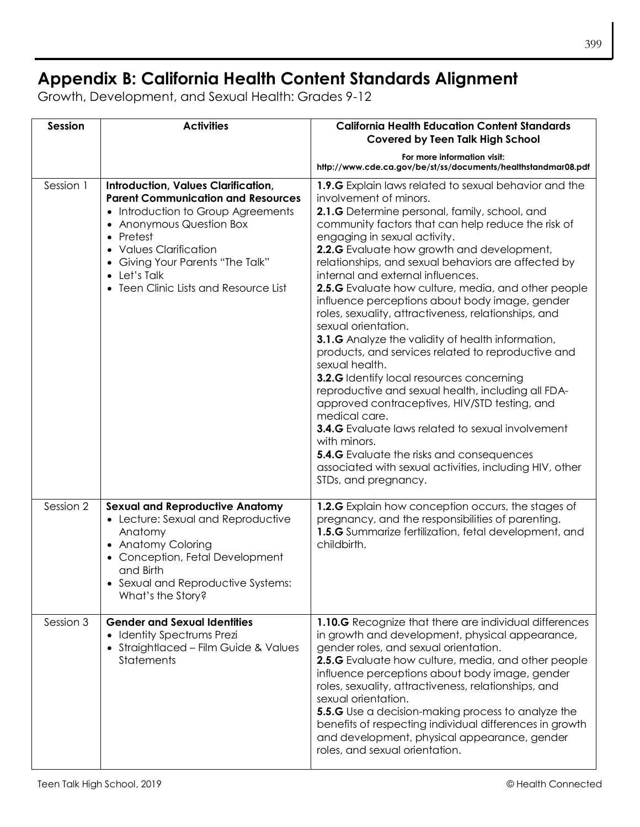## **Appendix B: California Health Content Standards Alignment**

Growth, Development, and Sexual Health: Grades 9-12

| <b>Session</b> | <b>Activities</b>                                                                                                                                                                                                                                                                                     | <b>California Health Education Content Standards</b><br><b>Covered by Teen Talk High School</b>                                                                                                                                                                                                                                                                                                                                                                                                                                                                                                                                                                                                                                                                                                                                                                                                                                                                                                                                                                               |
|----------------|-------------------------------------------------------------------------------------------------------------------------------------------------------------------------------------------------------------------------------------------------------------------------------------------------------|-------------------------------------------------------------------------------------------------------------------------------------------------------------------------------------------------------------------------------------------------------------------------------------------------------------------------------------------------------------------------------------------------------------------------------------------------------------------------------------------------------------------------------------------------------------------------------------------------------------------------------------------------------------------------------------------------------------------------------------------------------------------------------------------------------------------------------------------------------------------------------------------------------------------------------------------------------------------------------------------------------------------------------------------------------------------------------|
|                |                                                                                                                                                                                                                                                                                                       | For more information visit:<br>http://www.cde.ca.gov/be/st/ss/documents/healthstandmar08.pdf                                                                                                                                                                                                                                                                                                                                                                                                                                                                                                                                                                                                                                                                                                                                                                                                                                                                                                                                                                                  |
| Session 1      | <b>Introduction, Values Clarification,</b><br><b>Parent Communication and Resources</b><br>• Introduction to Group Agreements<br>• Anonymous Question Box<br>• Pretest<br>• Values Clarification<br>• Giving Your Parents "The Talk"<br>$\bullet$ Let's Talk<br>• Teen Clinic Lists and Resource List | 1.9.G Explain laws related to sexual behavior and the<br>involvement of minors.<br>2.1.G Determine personal, family, school, and<br>community factors that can help reduce the risk of<br>engaging in sexual activity.<br>2.2.G Evaluate how growth and development,<br>relationships, and sexual behaviors are affected by<br>internal and external influences.<br>2.5.G Evaluate how culture, media, and other people<br>influence perceptions about body image, gender<br>roles, sexuality, attractiveness, relationships, and<br>sexual orientation.<br>3.1.G Analyze the validity of health information,<br>products, and services related to reproductive and<br>sexual health.<br>3.2.G Identify local resources concerning<br>reproductive and sexual health, including all FDA-<br>approved contraceptives, HIV/STD testing, and<br>medical care.<br><b>3.4.G</b> Evaluate laws related to sexual involvement<br>with minors.<br><b>5.4.G</b> Evaluate the risks and consequences<br>associated with sexual activities, including HIV, other<br>STDs, and pregnancy. |
| Session 2      | <b>Sexual and Reproductive Anatomy</b><br>• Lecture: Sexual and Reproductive<br>Anatomy<br>• Anatomy Coloring<br>• Conception, Fetal Development<br>and Birth<br>• Sexual and Reproductive Systems:<br>What's the Story?                                                                              | 1.2.G Explain how conception occurs, the stages of<br>pregnancy, and the responsibilities of parenting.<br>1.5.G Summarize fertilization, fetal development, and<br>childbirth.                                                                                                                                                                                                                                                                                                                                                                                                                                                                                                                                                                                                                                                                                                                                                                                                                                                                                               |
| Session 3      | <b>Gender and Sexual Identities</b><br>• Identity Spectrums Prezi<br>• Straightlaced - Film Guide & Values<br><b>Statements</b>                                                                                                                                                                       | 1.10.G Recognize that there are individual differences<br>in growth and development, physical appearance,<br>gender roles, and sexual orientation.<br>2.5.G Evaluate how culture, media, and other people<br>influence perceptions about body image, gender<br>roles, sexuality, attractiveness, relationships, and<br>sexual orientation.<br><b>5.5.G</b> Use a decision-making process to analyze the<br>benefits of respecting individual differences in growth<br>and development, physical appearance, gender<br>roles, and sexual orientation.                                                                                                                                                                                                                                                                                                                                                                                                                                                                                                                          |